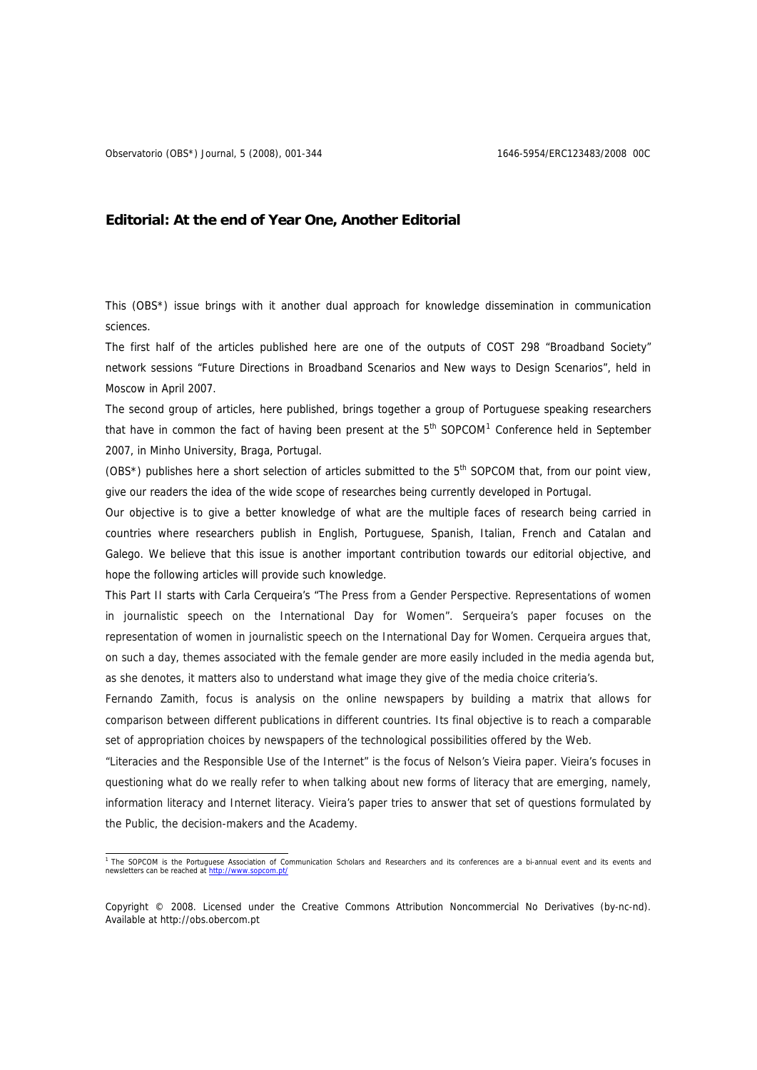## **Editorial: At the end of Year One, Another Editorial**

This (OBS\*) issue brings with it another dual approach for knowledge dissemination in communication sciences.

The first half of the articles published here are one of the outputs of COST 298 "Broadband Society" network sessions "Future Directions in Broadband Scenarios and New ways to Design Scenarios", held in Moscow in April 2007.

The second group of articles, here published, brings together a group of Portuguese speaking researchers that have in common the fact of having been present at the  $5<sup>th</sup>$  SOPCOM<sup>1</sup> Conference held in September 2007, in Minho University, Braga, Portugal.

(OBS\*) publishes here a short selection of articles submitted to the 5<sup>th</sup> SOPCOM that, from our point view, give our readers the idea of the wide scope of researches being currently developed in Portugal.

Our objective is to give a better knowledge of what are the multiple faces of research being carried in countries where researchers publish in English, Portuguese, Spanish, Italian, French and Catalan and Galego. We believe that this issue is another important contribution towards our editorial objective, and hope the following articles will provide such knowledge.

This Part II starts with Carla Cerqueira's "The Press from a Gender Perspective. Representations of women in journalistic speech on the International Day for Women". Serqueira's paper focuses on the representation of women in journalistic speech on the International Day for Women. Cerqueira argues that, on such a day, themes associated with the female gender are more easily included in the media agenda but, as she denotes, it matters also to understand what image they give of the media choice criteria's.

Fernando Zamith, focus is analysis on the online newspapers by building a matrix that allows for comparison between different publications in different countries. Its final objective is to reach a comparable set of appropriation choices by newspapers of the technological possibilities offered by the Web.

"Literacies and the Responsible Use of the Internet" is the focus of Nelson's Vieira paper. Vieira's focuses in questioning what do we really refer to when talking about new forms of literacy that are emerging, namely, information literacy and Internet literacy. Vieira's paper tries to answer that set of questions formulated by the Public, the decision-makers and the Academy.

<span id="page-0-0"></span><sup>1&</sup>lt;br>The SOPCOM is the Portuguese Association of Communication Scholars and Researchers and its conferences are a bi-annual event and its events and newsletters can be reached at http://www.sor

Copyright © 2008. Licensed under the Creative Commons Attribution Noncommercial No Derivatives (by-nc-nd). Available at http://obs.obercom.pt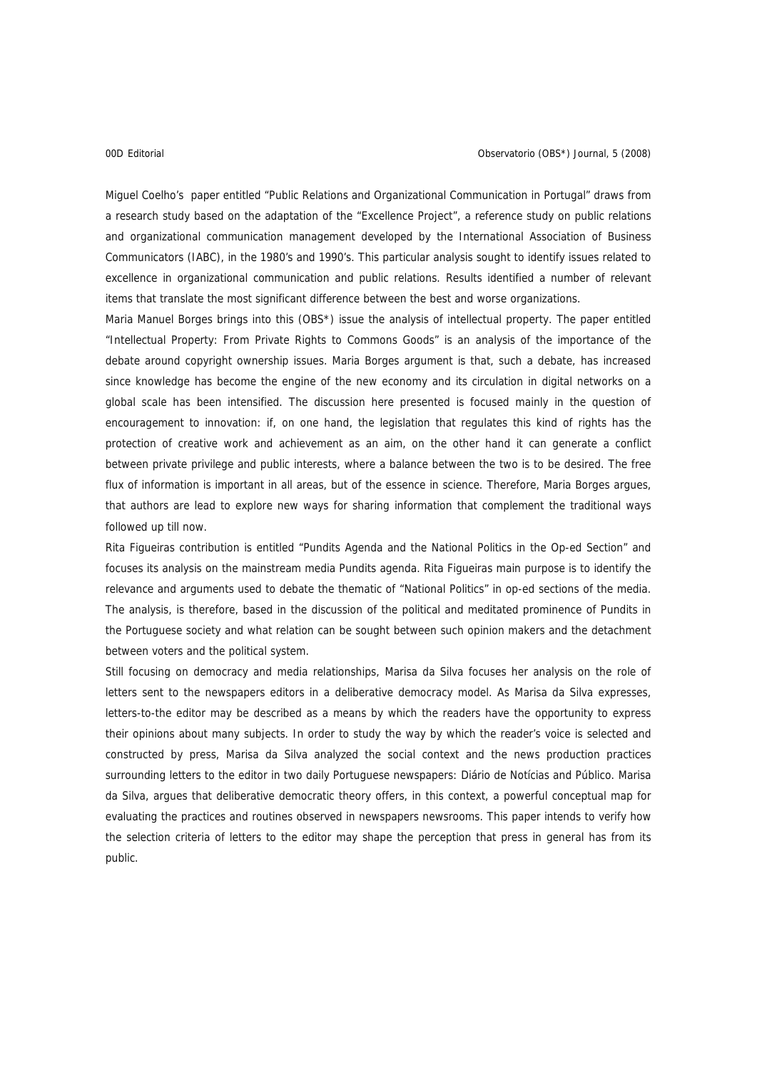Miguel Coelho's paper entitled "Public Relations and Organizational Communication in Portugal" draws from a research study based on the adaptation of the "Excellence Project", a reference study on public relations and organizational communication management developed by the International Association of Business Communicators (IABC), in the 1980's and 1990's. This particular analysis sought to identify issues related to excellence in organizational communication and public relations. Results identified a number of relevant items that translate the most significant difference between the best and worse organizations.

Maria Manuel Borges brings into this (OBS\*) issue the analysis of intellectual property. The paper entitled "Intellectual Property: From Private Rights to Commons Goods" is an analysis of the importance of the debate around copyright ownership issues. Maria Borges argument is that, such a debate, has increased since knowledge has become the engine of the new economy and its circulation in digital networks on a global scale has been intensified. The discussion here presented is focused mainly in the question of encouragement to innovation: if, on one hand, the legislation that regulates this kind of rights has the protection of creative work and achievement as an aim, on the other hand it can generate a conflict between private privilege and public interests, where a balance between the two is to be desired. The free flux of information is important in all areas, but of the essence in science. Therefore, Maria Borges argues, that authors are lead to explore new ways for sharing information that complement the traditional ways followed up till now.

Rita Figueiras contribution is entitled "Pundits Agenda and the National Politics in the Op-ed Section" and focuses its analysis on the mainstream media Pundits agenda. Rita Figueiras main purpose is to identify the relevance and arguments used to debate the thematic of "National Politics" in op-ed sections of the media. The analysis, is therefore, based in the discussion of the political and meditated prominence of Pundits in the Portuguese society and what relation can be sought between such opinion makers and the detachment between voters and the political system.

Still focusing on democracy and media relationships, Marisa da Silva focuses her analysis on the role of letters sent to the newspapers editors in a deliberative democracy model. As Marisa da Silva expresses, letters-to-the editor may be described as a means by which the readers have the opportunity to express their opinions about many subjects. In order to study the way by which the reader's voice is selected and constructed by press, Marisa da Silva analyzed the social context and the news production practices surrounding letters to the editor in two daily Portuguese newspapers: Diário de Notícias and Público. Marisa da Silva, argues that deliberative democratic theory offers, in this context, a powerful conceptual map for evaluating the practices and routines observed in newspapers newsrooms. This paper intends to verify how the selection criteria of letters to the editor may shape the perception that press in general has from its public.